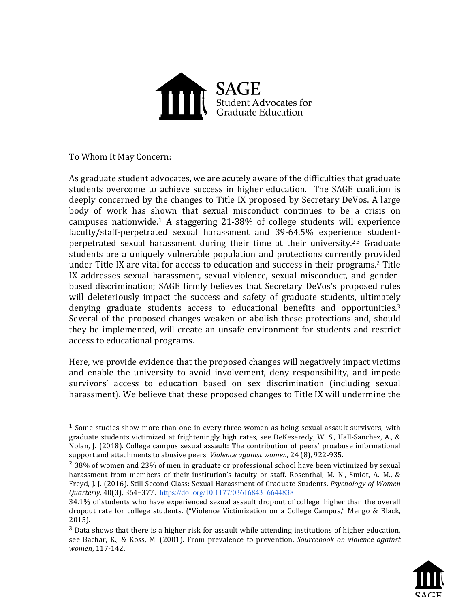

To Whom It May Concern:

 

As graduate student advocates, we are acutely aware of the difficulties that graduate students overcome to achieve success in higher education. The SAGE coalition is deeply concerned by the changes to Title IX proposed by Secretary DeVos. A large body of work has shown that sexual misconduct continues to be a crisis on campuses nationwide.<sup>1</sup> A staggering  $21\n-38\%$  of college students will experience faculty/staff-perpetrated sexual harassment and 39-64.5% experience studentperpetrated sexual harassment during their time at their university.<sup>2,3</sup> Graduate students are a uniquely vulnerable population and protections currently provided under Title IX are vital for access to education and success in their programs.<sup>2</sup> Title IX addresses sexual harassment, sexual violence, sexual misconduct, and genderbased discrimination; SAGE firmly believes that Secretary DeVos's proposed rules will deleteriously impact the success and safety of graduate students, ultimately denying graduate students access to educational benefits and opportunities.<sup>3</sup> Several of the proposed changes weaken or abolish these protections and, should they be implemented, will create an unsafe environment for students and restrict access to educational programs.

Here, we provide evidence that the proposed changes will negatively impact victims and enable the university to avoid involvement, deny responsibility, and impede survivors' access to education based on sex discrimination (including sexual harassment). We believe that these proposed changes to Title IX will undermine the

 $3$  Data shows that there is a higher risk for assault while attending institutions of higher education, see Bachar, K., & Koss, M. (2001). From prevalence to prevention. *Sourcebook on violence against women*, 117-142.



<sup>&</sup>lt;sup>1</sup> Some studies show more than one in every three women as being sexual assault survivors, with graduate students victimized at frighteningly high rates, see DeKeseredy, W. S., Hall-Sanchez, A.,  $\&$ Nolan, J. (2018). College campus sexual assault: The contribution of peers' proabuse informational support and attachments to abusive peers. *Violence against women*, 24 (8), 922-935.

 $^2$  38% of women and 23% of men in graduate or professional school have been victimized by sexual harassment from members of their institution's faculty or staff. Rosenthal, M. N., Smidt, A. M., & Freyd, J. J. (2016). Still Second Class: Sexual Harassment of Graduate Students. *Psychology of Women Quarterly*, 40(3), 364–377. https://doi.org/10.1177/0361684316644838

<sup>34.1%</sup> of students who have experienced sexual assault dropout of college, higher than the overall dropout rate for college students. ("Violence Victimization on a College Campus," Mengo & Black, 2015).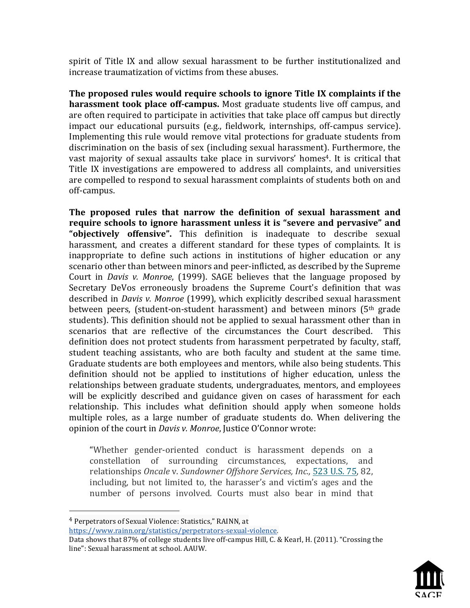spirit of Title IX and allow sexual harassment to be further institutionalized and increase traumatization of victims from these abuses.

**The proposed rules would require schools to ignore Title IX complaints if the harassment took place off-campus.** Most graduate students live off campus, and are often required to participate in activities that take place off campus but directly impact our educational pursuits (e.g., fieldwork, internships, off-campus service). Implementing this rule would remove vital protections for graduate students from discrimination on the basis of sex (including sexual harassment). Furthermore, the vast majority of sexual assaults take place in survivors' homes<sup>4</sup>. It is critical that Title IX investigations are empowered to address all complaints, and universities are compelled to respond to sexual harassment complaints of students both on and off-campus.

The proposed rules that narrow the definition of sexual harassment and require schools to ignore harassment unless it is "severe and pervasive" and "**objectively offensive**". This definition is inadequate to describe sexual harassment, and creates a different standard for these types of complaints. It is inappropriate to define such actions in institutions of higher education or any scenario other than between minors and peer-inflicted, as described by the Supreme Court in *Davis v. Monroe*, (1999). SAGE believes that the language proposed by Secretary DeVos erroneously broadens the Supreme Court's definition that was described in *Davis v. Monroe* (1999), which explicitly described sexual harassment between peers, (student-on-student harassment) and between minors  $(5<sup>th</sup>$  grade students). This definition should not be applied to sexual harassment other than in scenarios that are reflective of the circumstances the Court described. This definition does not protect students from harassment perpetrated by faculty, staff, student teaching assistants, who are both faculty and student at the same time. Graduate students are both employees and mentors, while also being students. This definition should not be applied to institutions of higher education, unless the relationships between graduate students, undergraduates, mentors, and employees will be explicitly described and guidance given on cases of harassment for each relationship. This includes what definition should apply when someone holds multiple roles, as a large number of graduate students do. When delivering the opinion of the court in *Davis v. Monroe*, Justice O'Connor wrote:

"Whether gender-oriented conduct is harassment depends on a constellation of surrounding circumstances, expectations, and relationships Oncale v. Sundowner Offshore Services, Inc., 523 U.S. 75, 82, including, but not limited to, the harasser's and victim's ages and the number of persons involved. Courts must also bear in mind that

 

https://www.rainn.org/statistics/perpetrators-sexual-violence.

Data shows that 87% of college students live off-campus Hill, C. & Kearl, H. (2011). "Crossing the line": Sexual harassment at school. AAUW.



<sup>&</sup>lt;sup>4</sup> Perpetrators of Sexual Violence: Statistics," RAINN, at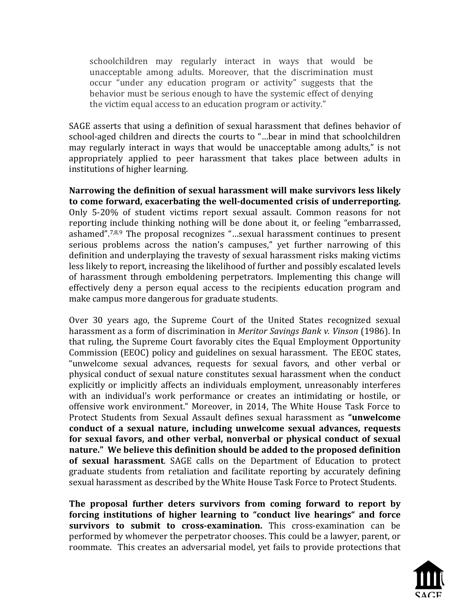schoolchildren may regularly interact in ways that would be unacceptable among adults. Moreover, that the discrimination must occur "under any education program or activity" suggests that the behavior must be serious enough to have the systemic effect of denying the victim equal access to an education program or activity."

SAGE asserts that using a definition of sexual harassment that defines behavior of school-aged children and directs the courts to "...bear in mind that schoolchildren may regularly interact in ways that would be unacceptable among adults," is not appropriately applied to peer harassment that takes place between adults in institutions of higher learning.

Narrowing the definition of sexual harassment will make survivors less likely to come forward, exacerbating the well-documented crisis of underreporting. Only 5-20% of student victims report sexual assault. Common reasons for not reporting include thinking nothing will be done about it, or feeling "embarrassed, ashamed".<sup>7,8,9</sup> The proposal recognizes "...sexual harassment continues to present serious problems across the nation's campuses," yet further narrowing of this definition and underplaying the travesty of sexual harassment risks making victims less likely to report, increasing the likelihood of further and possibly escalated levels of harassment through emboldening perpetrators. Implementing this change will effectively deny a person equal access to the recipients education program and make campus more dangerous for graduate students.

Over 30 years ago, the Supreme Court of the United States recognized sexual harassment as a form of discrimination in *Meritor Savings Bank v. Vinson* (1986). In that ruling, the Supreme Court favorably cites the Equal Employment Opportunity Commission (EEOC) policy and guidelines on sexual harassment. The EEOC states, "unwelcome sexual advances, requests for sexual favors, and other verbal or physical conduct of sexual nature constitutes sexual harassment when the conduct explicitly or implicitly affects an individuals employment, unreasonably interferes with an individual's work performance or creates an intimidating or hostile, or offensive work environment." Moreover, in 2014, The White House Task Force to Protect Students from Sexual Assault defines sexual harassment as "**unwelcome** conduct of a sexual nature, including unwelcome sexual advances, requests for sexual favors, and other verbal, nonverbal or physical conduct of sexual nature." We believe this definition should be added to the proposed definition **of sexual harassment**. SAGE calls on the Department of Education to protect graduate students from retaliation and facilitate reporting by accurately defining sexual harassment as described by the White House Task Force to Protect Students.

**The proposal further deters survivors from coming forward to report by forcing institutions of higher learning to "conduct live hearings" and force survivors to submit to cross-examination.** This cross-examination can be performed by whomever the perpetrator chooses. This could be a lawyer, parent, or roommate. This creates an adversarial model, yet fails to provide protections that

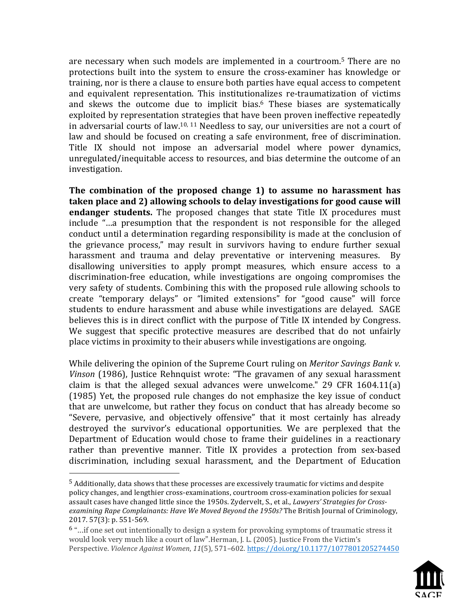are necessary when such models are implemented in a courtroom.<sup>5</sup> There are no protections built into the system to ensure the cross-examiner has knowledge or training, nor is there a clause to ensure both parties have equal access to competent and equivalent representation. This institutionalizes re-traumatization of victims and skews the outcome due to implicit bias.<sup>6</sup> These biases are systematically exploited by representation strategies that have been proven ineffective repeatedly in adversarial courts of law.<sup>10, 11</sup> Needless to say, our universities are not a court of law and should be focused on creating a safe environment, free of discrimination. Title IX should not impose an adversarial model where power dynamics, unregulated/inequitable access to resources, and bias determine the outcome of an investigation. 

The combination of the proposed change 1) to assume no harassment has **taken place and 2) allowing schools to delay investigations for good cause will endanger students.** The proposed changes that state Title IX procedures must include "...a presumption that the respondent is not responsible for the alleged conduct until a determination regarding responsibility is made at the conclusion of the grievance process," may result in survivors having to endure further sexual harassment and trauma and delay preventative or intervening measures. By disallowing universities to apply prompt measures, which ensure access to a discrimination-free education, while investigations are ongoing compromises the very safety of students. Combining this with the proposed rule allowing schools to create "temporary delays" or "limited extensions" for "good cause" will force students to endure harassment and abuse while investigations are delayed. SAGE believes this is in direct conflict with the purpose of Title IX intended by Congress. We suggest that specific protective measures are described that do not unfairly place victims in proximity to their abusers while investigations are ongoing.

While delivering the opinion of the Supreme Court ruling on *Meritor Savings Bank v. Vinson* (1986), Justice Rehnquist wrote: "The gravamen of any sexual harassment claim is that the alleged sexual advances were unwelcome."  $29$  CFR 1604.11(a)  $(1985)$  Yet, the proposed rule changes do not emphasize the key issue of conduct that are unwelcome, but rather they focus on conduct that has already become so "Severe, pervasive, and objectively offensive" that it most certainly has already destroyed the survivor's educational opportunities. We are perplexed that the Department of Education would chose to frame their guidelines in a reactionary rather than preventive manner. Title IX provides a protection from sex-based discrimination, including sexual harassment, and the Department of Education

 

<sup>6</sup> "...if one set out intentionally to design a system for provoking symptoms of traumatic stress it would look very much like a court of law".Herman, J. L. (2005). Justice From the Victim's Perspective. *Violence Against Women*, *11*(5), 571–602. https://doi.org/10.1177/1077801205274450



 $<sup>5</sup>$  Additionally, data shows that these processes are excessively traumatic for victims and despite</sup> policy changes, and lengthier cross-examinations, courtroom cross-examination policies for sexual assault cases have changed little since the 1950s. Zydervelt, S., et al., *Lawyers' Strategies for Cross*examining Rape Complainants: Have We Moved Beyond the 1950s? The British Journal of Criminology, 2017. 57(3): p. 551-569.